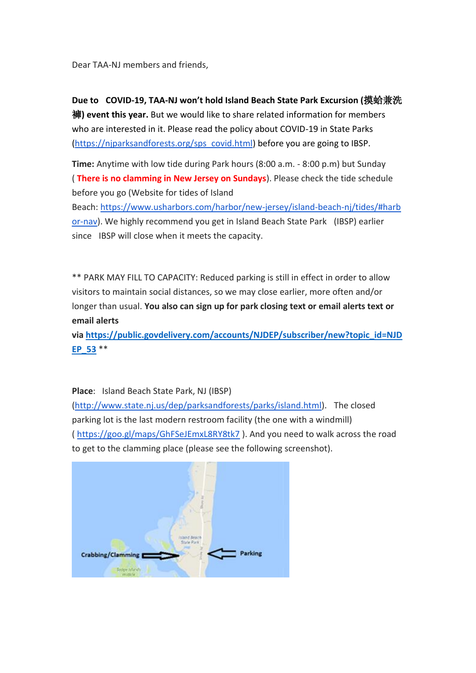Dear TAA-NJ members and friends,

**Due to COVID-19, TAA-NJ won't hold Island Beach State Park Excursion (**摸蛤兼洗 褲**) event this year.** But we would like to share related information for members who are interested in it. Please read the policy about COVID-19 in State Parks [\(https://njparksandforests.org/sps\\_covid.html\)](https://njparksandforests.org/sps_covid.html) before you are going to IBSP.

**Time:** Anytime with low tide during Park hours (8:00 a.m. - 8:00 p.m) but Sunday ( **There is no clamming in New Jersey on Sundays**). Please check the tide schedule before you go (Website for tides of Island

Beach: [https://www.usharbors.com/harbor/new-jersey/island-beach-nj/tides/#harb](https://www.usharbors.com/harbor/new-jersey/island-beach-nj/tides/#harbor-nav) [or-nav\)](https://www.usharbors.com/harbor/new-jersey/island-beach-nj/tides/#harbor-nav). We highly recommend you get in Island Beach State Park (IBSP) earlier since IBSP will close when it meets the capacity.

\*\* PARK MAY FILL TO CAPACITY: Reduced parking is still in effect in order to allow visitors to maintain social distances, so we may close earlier, more often and/or longer than usual. **You also can sign up for park closing text or email alerts text or email alerts** 

**via [https://public.govdelivery.com/accounts/NJDEP/subscriber/new?topic\\_id=NJD](https://public.govdelivery.com/accounts/NJDEP/subscriber/new?topic_id=NJDEP_53) [EP\\_53](https://public.govdelivery.com/accounts/NJDEP/subscriber/new?topic_id=NJDEP_53)** \*\*

**Place**: Island Beach State Park, NJ (IBSP)

[\(http://www.state.nj.us/dep/parksandforests/parks/island.html\)](http://www.state.nj.us/dep/parksandforests/parks/island.html). The closed parking lot is the last modern restroom facility (the one with a windmill) ( <https://goo.gl/maps/GhFSeJEmxL8RY8tk7> ). And you need to walk across the road to get to the clamming place (please see the following screenshot).

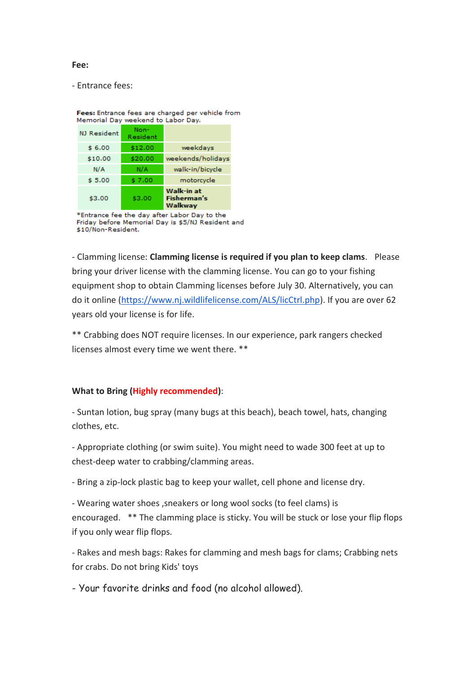## **Fee:**

- Entrance fees:

| Memorial Day weekend to Labor Day. |                  |                                             |
|------------------------------------|------------------|---------------------------------------------|
| NJ Resident                        | Non-<br>Resident |                                             |
| \$6.00                             | \$12.00          | weekdays                                    |
| \$10.00                            | \$20.00          | weekends/holidays                           |
| N/A                                | N/A              | walk-in/bicycle                             |
| \$5.00                             | \$7.00           | motorcycle                                  |
| \$3.00                             | \$3.00           | Walk-in at<br><b>Fisherman's</b><br>Walkway |

Fees: Entrance fees are charged per vehicle from

\*Entrance fee the day after Labor Day to the Friday before Memorial Day is \$5/NJ Resident and \$10/Non-Resident.

- Clamming license: **Clamming license is required if you plan to keep clams**. Please bring your driver license with the clamming license. You can go to your fishing equipment shop to obtain Clamming licenses before July 30. Alternatively, you can do it online [\(https://www.nj.wildlifelicense.com/ALS/licCtrl.php\)](https://www.nj.wildlifelicense.com/ALS/licCtrl.php). If you are over 62 years old your license is for life.

\*\* Crabbing does NOT require licenses. In our experience, park rangers checked licenses almost every time we went there. \*\*

## **What to Bring (Highly recommended)**:

- Suntan lotion, bug spray (many bugs at this beach), beach towel, hats, changing clothes, etc.

- Appropriate clothing (or swim suite). You might need to wade 300 feet at up to chest-deep water to crabbing/clamming areas.

- Bring a zip-lock plastic bag to keep your wallet, cell phone and license dry.

- Wearing water shoes ,sneakers or long wool socks (to feel clams) is encouraged. \*\* The clamming place is sticky. You will be stuck or lose your flip flops if you only wear flip flops.

- Rakes and mesh bags: Rakes for clamming and mesh bags for clams; Crabbing nets for crabs. Do not bring Kids' toys

- Your favorite drinks and food (no alcohol allowed).